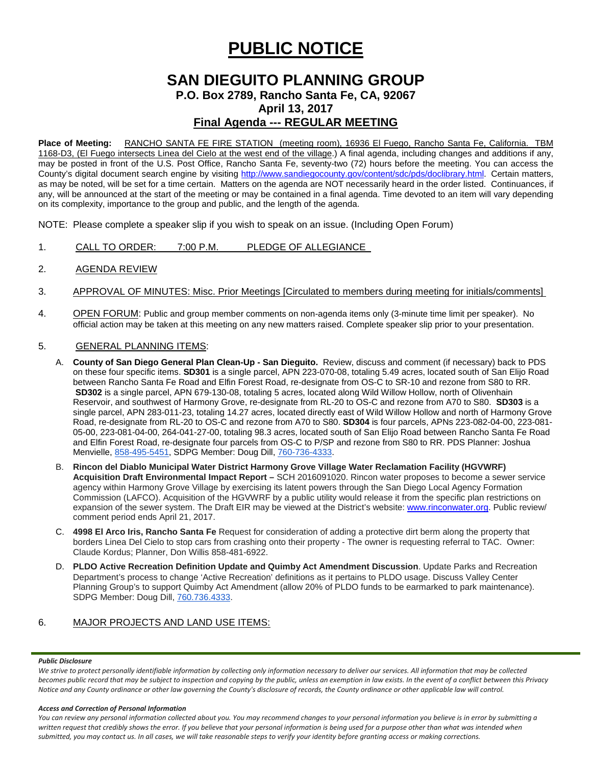# **PUBLIC NOTICE**

# **SAN DIEGUITO PLANNING GROUP P.O. Box 2789, Rancho Santa Fe, CA, 92067 April 13, 2017 Final Agenda --- REGULAR MEETING**

**Place of Meeting:** RANCHO SANTA FE FIRE STATION (meeting room), 16936 El Fuego, Rancho Santa Fe, California. TBM 1168-D3, (El Fuego intersects Linea del Cielo at the west end of the village.) A final agenda, including changes and additions if any, may be posted in front of the U.S. Post Office, Rancho Santa Fe, seventy-two (72) hours before the meeting. You can access the County's digital document search engine by visiting<http://www.sandiegocounty.gov/content/sdc/pds/doclibrary.html>. Certain matters, as may be noted, will be set for a time certain. Matters on the agenda are NOT necessarily heard in the order listed. Continuances, if any, will be announced at the start of the meeting or may be contained in a final agenda. Time devoted to an item will vary depending on its complexity, importance to the group and public, and the length of the agenda.

NOTE: Please complete a speaker slip if you wish to speak on an issue. (Including Open Forum)

- 1. CALL TO ORDER: 7:00 P.M. PLEDGE OF ALLEGIANCE
- 2. AGENDA REVIEW

## 3. APPROVAL OF MINUTES: Misc. Prior Meetings [Circulated to members during meeting for initials/comments]

4. OPEN FORUM: Public and group member comments on non-agenda items only (3-minute time limit per speaker). No official action may be taken at this meeting on any new matters raised. Complete speaker slip prior to your presentation.

## 5. GENERAL PLANNING ITEMS:

- A. **County of San Diego General Plan Clean-Up - San Dieguito.** Review, discuss and comment (if necessary) back to PDS on these four specific items. **SD301** is a single parcel, APN 223-070-08, totaling 5.49 acres, located south of San Elijo Road between Rancho Santa Fe Road and Elfin Forest Road, re-designate from OS-C to SR-10 and rezone from S80 to RR. **SD302** is a single parcel, APN 679-130-08, totaling 5 acres, located along Wild Willow Hollow, north of Olivenhain Reservoir, and southwest of Harmony Grove, re-designate from RL-20 to OS-C and rezone from A70 to S80. **SD303** is a single parcel, APN 283-011-23, totaling 14.27 acres, located directly east of Wild Willow Hollow and north of Harmony Grove Road, re-designate from RL-20 to OS-C and rezone from A70 to S80. **SD304** is four parcels, APNs 223-082-04-00, 223-081- 05-00, 223-081-04-00, 264-041-27-00, totaling 98.3 acres, located south of San Elijo Road between Rancho Santa Fe Road and Elfin Forest Road, re-designate four parcels from OS-C to P/SP and rezone from S80 to RR. PDS Planner: Joshua Menvielle, [858-495-5451,](tel:(858)%20495-5451) SDPG Member: Doug Dill, [760-736-4333.](tel:(760)%20736-4333)
- B. **Rincon del Diablo Municipal Water District Harmony Grove Village Water Reclamation Facility (HGVWRF) Acquisition Draft Environmental Impact Report –** SCH 2016091020. Rincon water proposes to become a sewer service agency within Harmony Grove Village by exercising its latent powers through the San Diego Local Agency Formation Commission (LAFCO). Acquisition of the HGVWRF by a public utility would release it from the specific plan restrictions on expansion of the sewer system. The Draft EIR may be viewed at the District's website: [www.rinconwater.org.](http://www.rinconwater.org/) Public review/ comment period ends April 21, 2017.
- C. **4998 El Arco Iris, Rancho Santa Fe** Request for consideration of adding a protective dirt berm along the property that borders Linea Del Cielo to stop cars from crashing onto their property - The owner is requesting referral to TAC. Owner: Claude Kordus; Planner, Don Willis [858-481-6922.](tel:(858)%20481-6922)
- D. **PLDO Active Recreation Definition Update and Quimby Act Amendment Discussion**. Update Parks and Recreation Department's process to change 'Active Recreation' definitions as it pertains to PLDO usage. Discuss Valley Center Planning Group's to support Quimby Act Amendment (allow 20% of PLDO funds to be earmarked to park maintenance). SDPG Member: Doug Dill, [760.736.4333.](tel:(760)%20736-4333)

# 6. MAJOR PROJECTS AND LAND USE ITEMS:

#### *Public Disclosure*

*We strive to protect personally identifiable information by collecting only information necessary to deliver our services. All information that may be collected becomes public record that may be subject to inspection and copying by the public, unless an exemption in law exists. In the event of a conflict between this Privacy Notice and any County ordinance or other law governing the County's disclosure of records, the County ordinance or other applicable law will control.*

#### *Access and Correction of Personal Information*

*You can review any personal information collected about you. You may recommend changes to your personal information you believe is in error by submitting a*  written request that credibly shows the error. If you believe that your personal information is being used for a purpose other than what was intended when *submitted, you may contact us. In all cases, we will take reasonable steps to verify your identity before granting access or making corrections.*